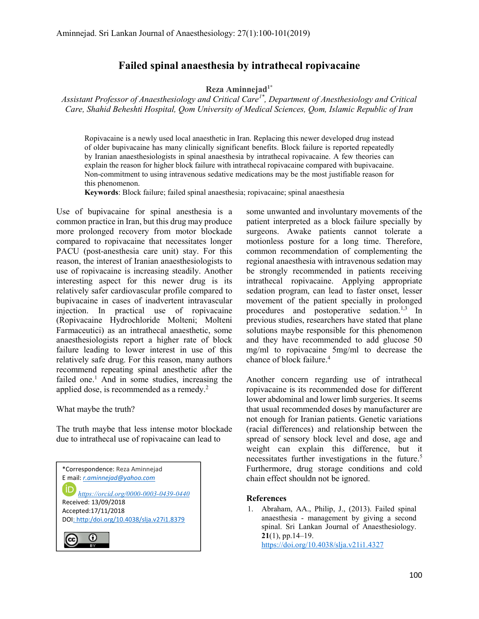## Failed spinal anaesthesia by intrathecal ropivacaine

Reza Aminneja $d^{1*}$ 

Assistant Professor of Anaesthesiology and Critical Care<sup>1\*</sup>, Department of Anesthesiology and Critical Care, Shahid Beheshti Hospital, Qom University of Medical Sciences, Qom, Islamic Republic of Iran

Ropivacaine is a newly used local anaesthetic in Iran. Replacing this newer developed drug instead of older bupivacaine has many clinically significant benefits. Block failure is reported repeatedly by Iranian anaesthesiologists in spinal anaesthesia by intrathecal ropivacaine. A few theories can explain the reason for higher block failure with intrathecal ropivacaine compared with bupivacaine. Non-commitment to using intravenous sedative medications may be the most justifiable reason for this phenomenon.

Keywords: Block failure; failed spinal anaesthesia; ropivacaine; spinal anaesthesia

Use of bupivacaine for spinal anesthesia is a common practice in Iran, but this drug may produce more prolonged recovery from motor blockade compared to ropivacaine that necessitates longer PACU (post-anesthesia care unit) stay. For this reason, the interest of Iranian anaesthesiologists to use of ropivacaine is increasing steadily. Another interesting aspect for this newer drug is its relatively safer cardiovascular profile compared to bupivacaine in cases of inadvertent intravascular injection. In practical use of ropivacaine (Ropivacaine Hydrochloride Molteni; Molteni Farmaceutici) as an intrathecal anaesthetic, some anaesthesiologists report a higher rate of block failure leading to lower interest in use of this relatively safe drug. For this reason, many authors recommend repeating spinal anesthetic after the failed one.<sup>1</sup> And in some studies, increasing the applied dose, is recommended as a remedy.<sup>2</sup>

What maybe the truth?

The truth maybe that less intense motor blockade due to intrathecal use of ropivacaine can lead to



some unwanted and involuntary movements of the patient interpreted as a block failure specially by surgeons. Awake patients cannot tolerate a motionless posture for a long time. Therefore, common recommendation of complementing the regional anaesthesia with intravenous sedation may be strongly recommended in patients receiving intrathecal ropivacaine. Applying appropriate sedation program, can lead to faster onset, lesser movement of the patient specially in prolonged procedures and postoperative sedation.<sup>1,3</sup> In previous studies, researchers have stated that plane solutions maybe responsible for this phenomenon and they have recommended to add glucose 50 mg/ml to ropivacaine 5mg/ml to decrease the chance of block failure.<sup>4</sup>

Another concern regarding use of intrathecal ropivacaine is its recommended dose for different lower abdominal and lower limb surgeries. It seems that usual recommended doses by manufacturer are not enough for Iranian patients. Genetic variations (racial differences) and relationship between the spread of sensory block level and dose, age and weight can explain this difference, but it necessitates further investigations in the future.<sup>5</sup> Furthermore, drug storage conditions and cold chain effect shouldn not be ignored.

## References

1. Abraham, AA., Philip, J., (2013). Failed spinal anaesthesia - management by giving a second spinal. Sri Lankan Journal of Anaesthesiology.  $21(1)$ , pp. 14–19. https://doi.org/10.4038/slja.v21i1.4327